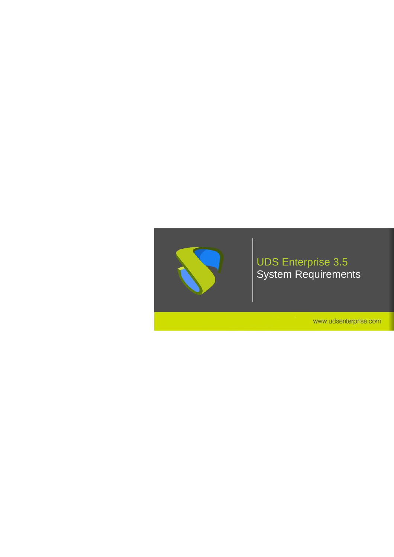

### UDS Enterprise 3.5 System Requirements

www.udsenterprise.com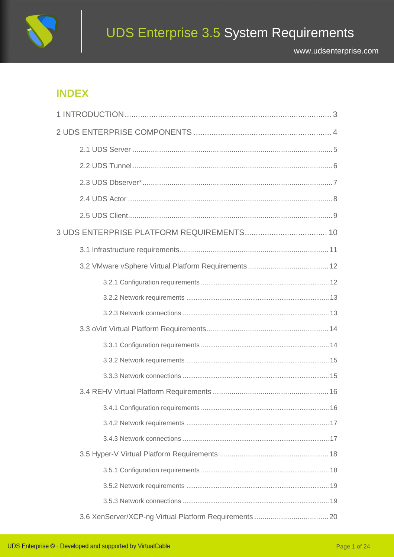

## **INDEX**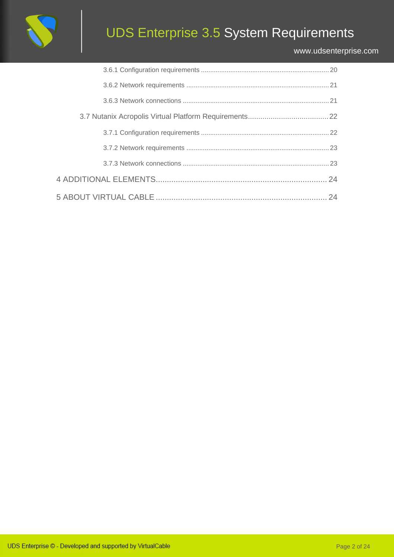

# UDS Enterprise 3.5 System Requirements

#### [www.udsenterprise.com](https://www.udsenterprise.com/)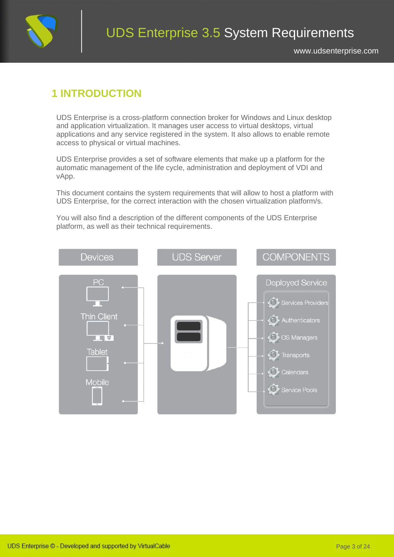

### <span id="page-3-0"></span>**1 INTRODUCTION**

UDS Enterprise is a cross-platform connection broker for Windows and Linux desktop and application virtualization. It manages user access to virtual desktops, virtual applications and any service registered in the system. It also allows to enable remote access to physical or virtual machines.

UDS Enterprise provides a set of software elements that make up a platform for the automatic management of the life cycle, administration and deployment of VDI and vApp.

This document contains the system requirements that will allow to host a platform with UDS Enterprise, for the correct interaction with the chosen virtualization platform/s.

You will also find a description of the different components of the UDS Enterprise platform, as well as their technical requirements.

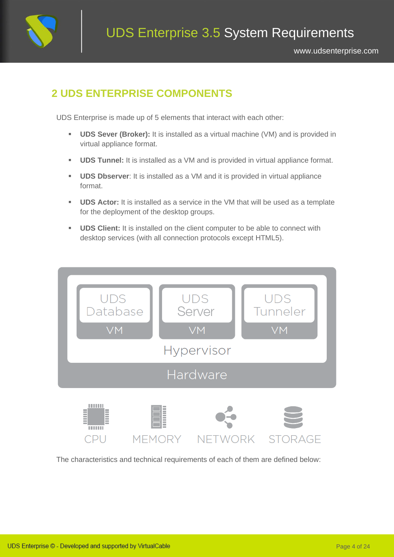

## <span id="page-4-0"></span>**2 UDS ENTERPRISE COMPONENTS**

UDS Enterprise is made up of 5 elements that interact with each other:

- **UDS Sever (Broker):** It is installed as a virtual machine (VM) and is provided in virtual appliance format.
- **UDS Tunnel:** It is installed as a VM and is provided in virtual appliance format.
- **UDS Dbserver**: It is installed as a VM and it is provided in virtual appliance format.
- **UDS Actor:** It is installed as a service in the VM that will be used as a template for the deployment of the desktop groups.
- **UDS Client:** It is installed on the client computer to be able to connect with desktop services (with all connection protocols except HTML5).



The characteristics and technical requirements of each of them are defined below: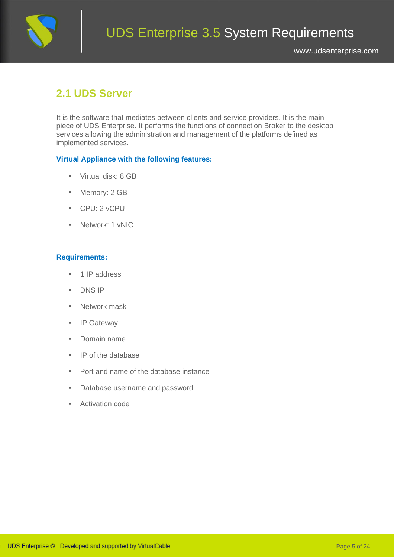

## <span id="page-5-0"></span>**2.1 UDS Server**

It is the software that mediates between clients and service providers. It is the main piece of UDS Enterprise. It performs the functions of connection Broker to the desktop services allowing the administration and management of the platforms defined as implemented services.

#### **Virtual Appliance with the following features:**

- Virtual disk: 8 GB
- Memory: 2 GB
- CPU: 2 vCPU
- Network: 1 vNIC

- 1 IP address
- DNS IP
- Network mask
- IP Gateway
- Domain name
- IP of the database
- Port and name of the database instance
- Database username and password
- Activation code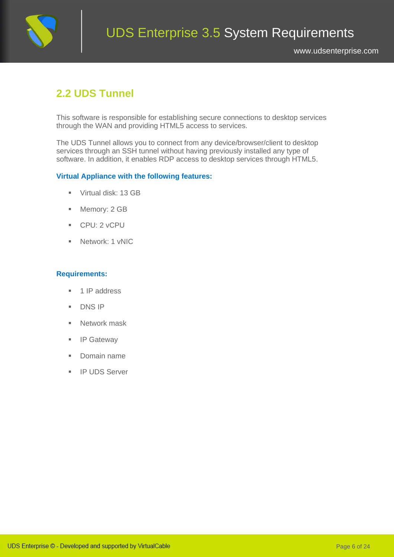

## <span id="page-6-0"></span>**2.2 UDS Tunnel**

This software is responsible for establishing secure connections to desktop services through the WAN and providing HTML5 access to services.

The UDS Tunnel allows you to connect from any device/browser/client to desktop services through an SSH tunnel without having previously installed any type of software. In addition, it enables RDP access to desktop services through HTML5.

#### **Virtual Appliance with the following features:**

- Virtual disk: 13 GB
- Memory: 2 GB
- CPU: 2 vCPU
- **■** Network: 1 vNIC

- 1 IP address
- DNS IP
- Network mask
- IP Gateway
- Domain name
- IP UDS Server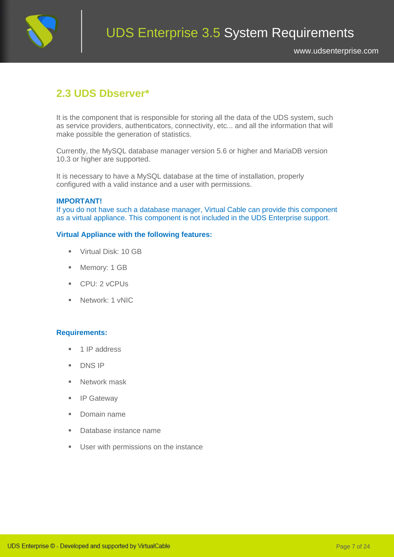

## <span id="page-7-0"></span>**2.3 UDS Dbserver\***

It is the component that is responsible for storing all the data of the UDS system, such as service providers, authenticators, connectivity, etc... and all the information that will make possible the generation of statistics.

Currently, the MySQL database manager version 5.6 or higher and MariaDB version 10.3 or higher are supported.

It is necessary to have a MySQL database at the time of installation, properly configured with a valid instance and a user with permissions.

#### **IMPORTANT!**

If you do not have such a database manager, Virtual Cable can provide this component as a virtual appliance. This component is not included in the UDS Enterprise support.

#### **Virtual Appliance with the following features:**

- Virtual Disk: 10 GB
- Memory: 1 GB
- CPU: 2 vCPUs
- Network: 1 vNIC

- 1 IP address
- DNS IP
- Network mask
- IP Gateway
- Domain name
- Database instance name
- User with permissions on the instance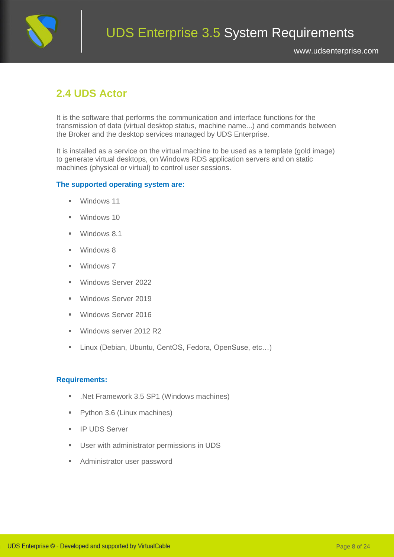

## <span id="page-8-0"></span>**2.4 UDS Actor**

It is the software that performs the communication and interface functions for the transmission of data (virtual desktop status, machine name...) and commands between the Broker and the desktop services managed by UDS Enterprise.

It is installed as a service on the virtual machine to be used as a template (gold image) to generate virtual desktops, on Windows RDS application servers and on static machines (physical or virtual) to control user sessions.

#### **The supported operating system are:**

- Windows 11
- Windows 10
- Windows 8.1
- Windows 8
- Windows 7
- Windows Server 2022
- **■** Windows Server 2019
- **■** Windows Server 2016
- Windows server 2012 R2
- Linux (Debian, Ubuntu, CentOS, Fedora, OpenSuse, etc...)

- .Net Framework 3.5 SP1 (Windows machines)
- Python 3.6 (Linux machines)
- **·** IP UDS Server
- User with administrator permissions in UDS
- Administrator user password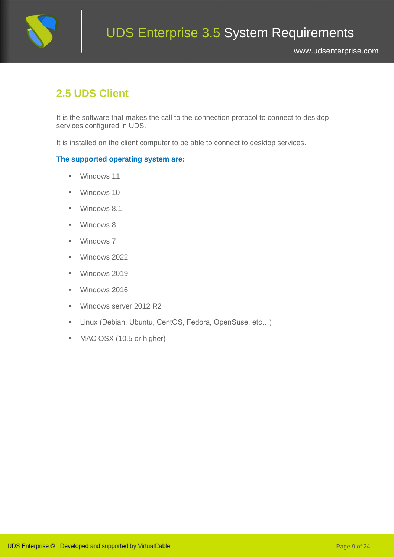

## <span id="page-9-0"></span>**2.5 UDS Client**

It is the software that makes the call to the connection protocol to connect to desktop services configured in UDS.

It is installed on the client computer to be able to connect to desktop services.

#### **The supported operating system are:**

- Windows 11
- Windows 10
- Windows 8.1
- Windows 8
- Windows 7
- Windows 2022
- Windows 2019
- Windows 2016
- Windows server 2012 R2
- Linux (Debian, Ubuntu, CentOS, Fedora, OpenSuse, etc…)
- MAC OSX (10.5 or higher)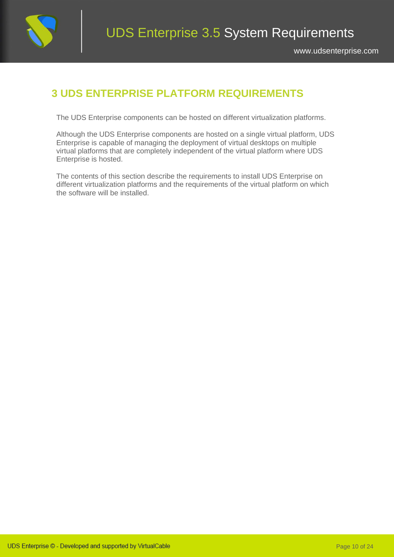

## <span id="page-10-0"></span>**3 UDS ENTERPRISE PLATFORM REQUIREMENTS**

The UDS Enterprise components can be hosted on different virtualization platforms.

Although the UDS Enterprise components are hosted on a single virtual platform, UDS Enterprise is capable of managing the deployment of virtual desktops on multiple virtual platforms that are completely independent of the virtual platform where UDS Enterprise is hosted.

The contents of this section describe the requirements to install UDS Enterprise on different virtualization platforms and the requirements of the virtual platform on which the software will be installed.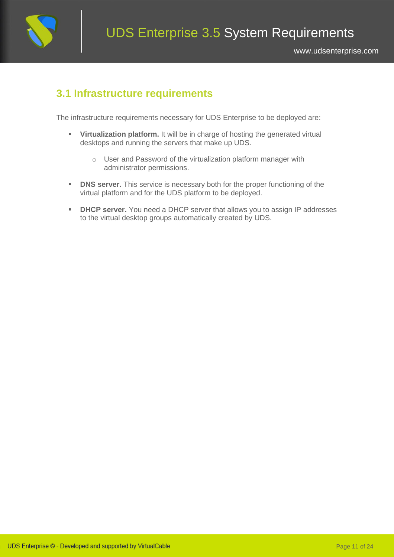

### <span id="page-11-0"></span>**3.1 Infrastructure requirements**

The infrastructure requirements necessary for UDS Enterprise to be deployed are:

- **Virtualization platform.** It will be in charge of hosting the generated virtual desktops and running the servers that make up UDS.
	- o User and Password of the virtualization platform manager with administrator permissions.
- **DNS server.** This service is necessary both for the proper functioning of the virtual platform and for the UDS platform to be deployed.
- **DHCP server.** You need a DHCP server that allows you to assign IP addresses to the virtual desktop groups automatically created by UDS.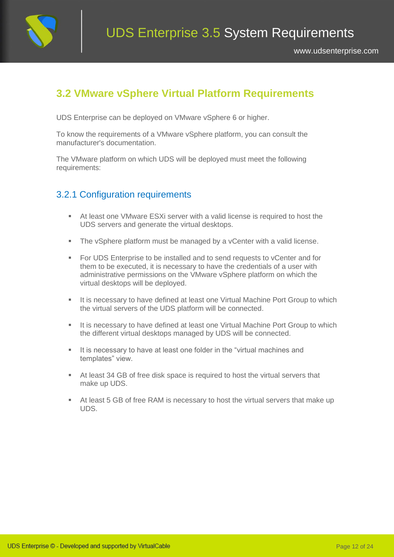

### <span id="page-12-0"></span>**3.2 VMware vSphere Virtual Platform Requirements**

UDS Enterprise can be deployed on VMware vSphere 6 or higher.

To know the requirements of a VMware vSphere platform, you can consult the manufacturer's documentation.

<span id="page-12-1"></span>The VMware platform on which UDS will be deployed must meet the following requirements:

#### 3.2.1 Configuration requirements

- At least one VMware ESXi server with a valid license is required to host the UDS servers and generate the virtual desktops.
- The vSphere platform must be managed by a vCenter with a valid license.
- For UDS Enterprise to be installed and to send requests to vCenter and for them to be executed, it is necessary to have the credentials of a user with administrative permissions on the VMware vSphere platform on which the virtual desktops will be deployed.
- **EXT** It is necessary to have defined at least one Virtual Machine Port Group to which the virtual servers of the UDS platform will be connected.
- It is necessary to have defined at least one Virtual Machine Port Group to which the different virtual desktops managed by UDS will be connected.
- **EXTE:** It is necessary to have at least one folder in the "virtual machines and templates" view.
- At least 34 GB of free disk space is required to host the virtual servers that make up UDS.
- At least 5 GB of free RAM is necessary to host the virtual servers that make up UDS.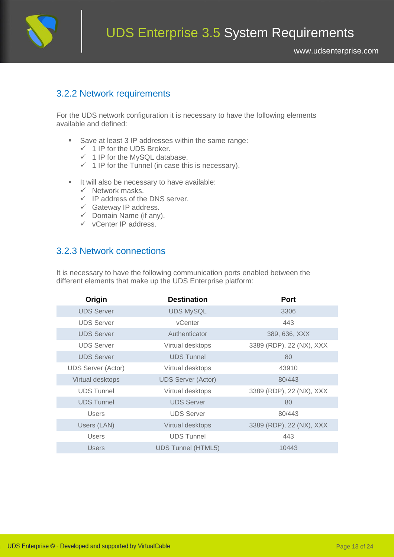

### <span id="page-13-0"></span>3.2.2 Network requirements

For the UDS network configuration it is necessary to have the following elements available and defined:

- Save at least 3 IP addresses within the same range:
	- $\checkmark$  1 IP for the UDS Broker.
	- $\checkmark$  1 IP for the MySQL database.
	- $\checkmark$  1 IP for the Tunnel (in case this is necessary).
- It will also be necessary to have available:
	- $\checkmark$  Network masks.
	- $\checkmark$  IP address of the DNS server.
	- ✓ Gateway IP address.
	- $\checkmark$  Domain Name (if any).
	- ✓ vCenter IP address.

### <span id="page-13-1"></span>3.2.3 Network connections

| Origin             | <b>Destination</b>        | <b>Port</b>              |
|--------------------|---------------------------|--------------------------|
| <b>UDS Server</b>  | <b>UDS MySQL</b>          | 3306                     |
| <b>UDS Server</b>  | <b>vCenter</b>            | 443                      |
| <b>UDS Server</b>  | Authenticator             | 389, 636, XXX            |
| <b>UDS Server</b>  | Virtual desktops          | 3389 (RDP), 22 (NX), XXX |
| <b>UDS Server</b>  | <b>UDS Tunnel</b>         | 80                       |
| UDS Server (Actor) | Virtual desktops          | 43910                    |
| Virtual desktops   | <b>UDS Server (Actor)</b> | 80/443                   |
| <b>UDS Tunnel</b>  | Virtual desktops          | 3389 (RDP), 22 (NX), XXX |
| <b>UDS Tunnel</b>  | <b>UDS Server</b>         | 80                       |
| <b>Users</b>       | <b>UDS Server</b>         | 80/443                   |
| Users (LAN)        | Virtual desktops          | 3389 (RDP), 22 (NX), XXX |
| <b>Users</b>       | <b>UDS Tunnel</b>         | 443                      |
| Users              | <b>UDS Tunnel (HTML5)</b> | 10443                    |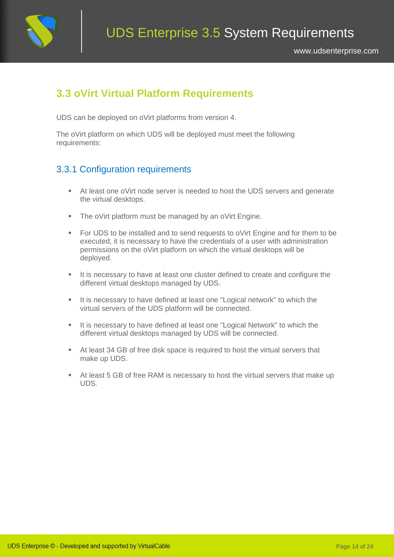

### <span id="page-14-0"></span>**3.3 oVirt Virtual Platform Requirements**

UDS can be deployed on oVirt platforms from version 4.

<span id="page-14-1"></span>The oVirt platform on which UDS will be deployed must meet the following requirements:

### 3.3.1 Configuration requirements

- At least one oVirt node server is needed to host the UDS servers and generate the virtual desktops.
- The oVirt platform must be managed by an oVirt Engine.
- For UDS to be installed and to send requests to oVirt Engine and for them to be executed, it is necessary to have the credentials of a user with administration permissions on the oVirt platform on which the virtual desktops will be deployed.
- It is necessary to have at least one cluster defined to create and configure the different virtual desktops managed by UDS.
- It is necessary to have defined at least one "Logical network" to which the virtual servers of the UDS platform will be connected.
- It is necessary to have defined at least one "Logical Network" to which the different virtual desktops managed by UDS will be connected.
- At least 34 GB of free disk space is required to host the virtual servers that make up UDS.
- At least 5 GB of free RAM is necessary to host the virtual servers that make up UDS.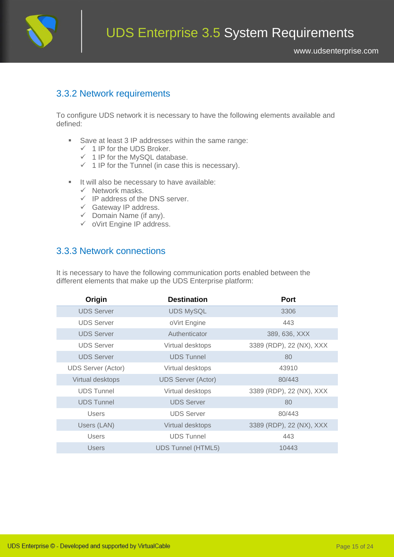

#### <span id="page-15-0"></span>3.3.2 Network requirements

To configure UDS network it is necessary to have the following elements available and defined:

- Save at least 3 IP addresses within the same range:
	- $\checkmark$  1 IP for the UDS Broker.
	- $\checkmark$  1 IP for the MySQL database.
	- $\checkmark$  1 IP for the Tunnel (in case this is necessary).
- It will also be necessary to have available:
	- $\checkmark$  Network masks.
	- $\checkmark$  IP address of the DNS server.
	- ✓ Gateway IP address.
	- $\checkmark$  Domain Name (if any).
	- ✓ oVirt Engine IP address.

### <span id="page-15-1"></span>3.3.3 Network connections

| Origin             | <b>Destination</b>        | <b>Port</b>              |
|--------------------|---------------------------|--------------------------|
| <b>UDS Server</b>  | <b>UDS MySQL</b>          | 3306                     |
| <b>UDS Server</b>  | oVirt Engine              | 443                      |
| <b>UDS Server</b>  | Authenticator             | 389, 636, XXX            |
| <b>UDS Server</b>  | Virtual desktops          | 3389 (RDP), 22 (NX), XXX |
| <b>UDS Server</b>  | <b>UDS Tunnel</b>         | 80                       |
| UDS Server (Actor) | Virtual desktops          | 43910                    |
| Virtual desktops   | <b>UDS Server (Actor)</b> | 80/443                   |
| <b>UDS Tunnel</b>  | Virtual desktops          | 3389 (RDP), 22 (NX), XXX |
| <b>UDS Tunnel</b>  | <b>UDS Server</b>         | 80                       |
| <b>Users</b>       | <b>UDS Server</b>         | 80/443                   |
| Users (LAN)        | Virtual desktops          | 3389 (RDP), 22 (NX), XXX |
| <b>Users</b>       | <b>UDS Tunnel</b>         | 443                      |
| Users              | <b>UDS Tunnel (HTML5)</b> | 10443                    |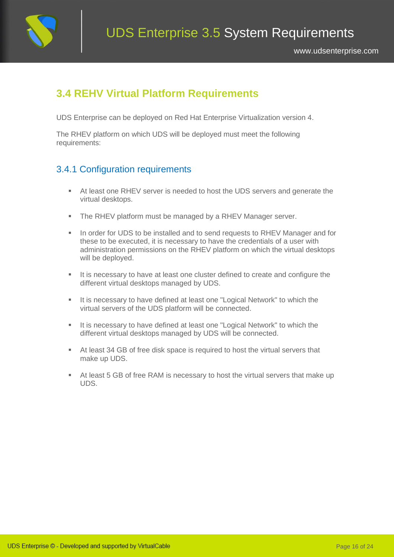

### <span id="page-16-0"></span>**3.4 REHV Virtual Platform Requirements**

UDS Enterprise can be deployed on Red Hat Enterprise Virtualization version 4.

<span id="page-16-1"></span>The RHEV platform on which UDS will be deployed must meet the following requirements:

### 3.4.1 Configuration requirements

- At least one RHEV server is needed to host the UDS servers and generate the virtual desktops.
- The RHEV platform must be managed by a RHEV Manager server.
- In order for UDS to be installed and to send requests to RHEV Manager and for these to be executed, it is necessary to have the credentials of a user with administration permissions on the RHEV platform on which the virtual desktops will be deployed.
- It is necessary to have at least one cluster defined to create and configure the different virtual desktops managed by UDS.
- It is necessary to have defined at least one "Logical Network" to which the virtual servers of the UDS platform will be connected.
- It is necessary to have defined at least one "Logical Network" to which the different virtual desktops managed by UDS will be connected.
- At least 34 GB of free disk space is required to host the virtual servers that make up UDS.
- At least 5 GB of free RAM is necessary to host the virtual servers that make up UDS.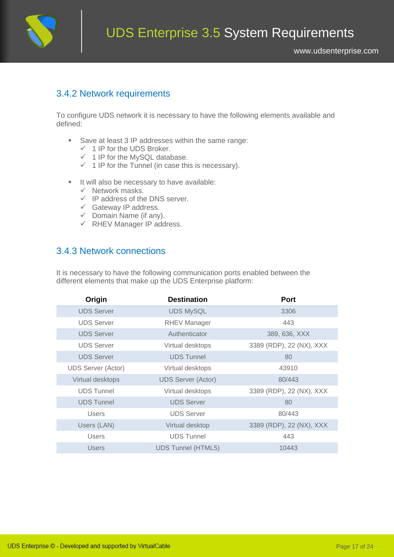

#### <span id="page-17-0"></span>3.4.2 Network requirements

To configure UDS network it is necessary to have the following elements available and defined:

- Save at least 3 IP addresses within the same range:
	- $\checkmark$  1 IP for the UDS Broker.
	- $\checkmark$  1 IP for the MySQL database.
	- $\checkmark$  1 IP for the Tunnel (in case this is necessary).
- It will also be necessary to have available:
	- $\checkmark$  Network masks.
	- $\checkmark$  IP address of the DNS server.
	- ✓ Gateway IP address.
	- $\checkmark$  Domain Name (if any).
	- ✓ RHEV Manager IP address.

### <span id="page-17-1"></span>3.4.3 Network connections

| Origin                    | <b>Destination</b>        | <b>Port</b>              |
|---------------------------|---------------------------|--------------------------|
| <b>UDS Server</b>         | <b>UDS MySQL</b>          | 3306                     |
| <b>UDS Server</b>         | <b>RHEV Manager</b>       | 443                      |
| <b>UDS Server</b>         | Authenticator             | 389, 636, XXX            |
| <b>UDS Server</b>         | Virtual desktops          | 3389 (RDP), 22 (NX), XXX |
| <b>UDS Server</b>         | <b>UDS Tunnel</b>         | 80                       |
| <b>UDS Server (Actor)</b> | Virtual desktops          | 43910                    |
| Virtual desktops          | <b>UDS Server (Actor)</b> | 80/443                   |
| <b>UDS Tunnel</b>         | Virtual desktops          | 3389 (RDP), 22 (NX), XXX |
| <b>UDS Tunnel</b>         | <b>UDS Server</b>         | 80                       |
| <b>Users</b>              | <b>UDS Server</b>         | 80/443                   |
| Users (LAN)               | Virtual desktop           | 3389 (RDP), 22 (NX), XXX |
| <b>Users</b>              | <b>UDS Tunnel</b>         | 443                      |
| Users                     | <b>UDS Tunnel (HTML5)</b> | 10443                    |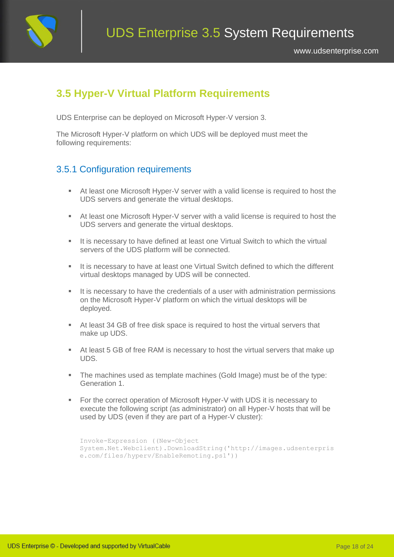

### <span id="page-18-0"></span>**3.5 Hyper-V Virtual Platform Requirements**

UDS Enterprise can be deployed on Microsoft Hyper-V version 3.

<span id="page-18-1"></span>The Microsoft Hyper-V platform on which UDS will be deployed must meet the following requirements:

### 3.5.1 Configuration requirements

- At least one Microsoft Hyper-V server with a valid license is required to host the UDS servers and generate the virtual desktops.
- At least one Microsoft Hyper-V server with a valid license is required to host the UDS servers and generate the virtual desktops.
- It is necessary to have defined at least one Virtual Switch to which the virtual servers of the UDS platform will be connected.
- It is necessary to have at least one Virtual Switch defined to which the different virtual desktops managed by UDS will be connected.
- It is necessary to have the credentials of a user with administration permissions on the Microsoft Hyper-V platform on which the virtual desktops will be deployed.
- At least 34 GB of free disk space is required to host the virtual servers that make up UDS.
- At least 5 GB of free RAM is necessary to host the virtual servers that make up UDS.
- The machines used as template machines (Gold Image) must be of the type: Generation 1.
- For the correct operation of Microsoft Hyper-V with UDS it is necessary to execute the following script (as administrator) on all Hyper-V hosts that will be used by UDS (even if they are part of a Hyper-V cluster):

```
Invoke-Expression ((New-Object 
System.Net.Webclient).DownloadString('http://images.udsenterpris
e.com/files/hyperv/EnableRemoting.ps1'))
```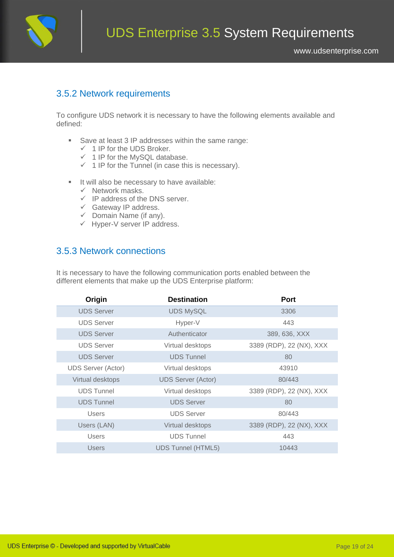

#### <span id="page-19-0"></span>3.5.2 Network requirements

To configure UDS network it is necessary to have the following elements available and defined:

- Save at least 3 IP addresses within the same range:
	- $\checkmark$  1 IP for the UDS Broker.
	- $\checkmark$  1 IP for the MySQL database.
	- $\checkmark$  1 IP for the Tunnel (in case this is necessary).
- It will also be necessary to have available:
	- $\checkmark$  Network masks.
	- $\checkmark$  IP address of the DNS server.
	- ✓ Gateway IP address.
	- $\checkmark$  Domain Name (if any).
	- ✓ Hyper-V server IP address.

### <span id="page-19-1"></span>3.5.3 Network connections

| Origin             | <b>Destination</b>        | <b>Port</b>              |
|--------------------|---------------------------|--------------------------|
| <b>UDS Server</b>  | <b>UDS MySQL</b>          | 3306                     |
| <b>UDS Server</b>  | Hyper-V                   | 443                      |
| <b>UDS Server</b>  | Authenticator             | 389, 636, XXX            |
| <b>UDS Server</b>  | Virtual desktops          | 3389 (RDP), 22 (NX), XXX |
| <b>UDS Server</b>  | <b>UDS Tunnel</b>         | 80                       |
| UDS Server (Actor) | Virtual desktops          | 43910                    |
| Virtual desktops   | <b>UDS Server (Actor)</b> | 80/443                   |
| <b>UDS Tunnel</b>  | Virtual desktops          | 3389 (RDP), 22 (NX), XXX |
| <b>UDS Tunnel</b>  | <b>UDS Server</b>         | 80                       |
| <b>Users</b>       | <b>UDS Server</b>         | 80/443                   |
| Users (LAN)        | Virtual desktops          | 3389 (RDP), 22 (NX), XXX |
| <b>Users</b>       | <b>UDS Tunnel</b>         | 443                      |
| Users              | <b>UDS Tunnel (HTML5)</b> | 10443                    |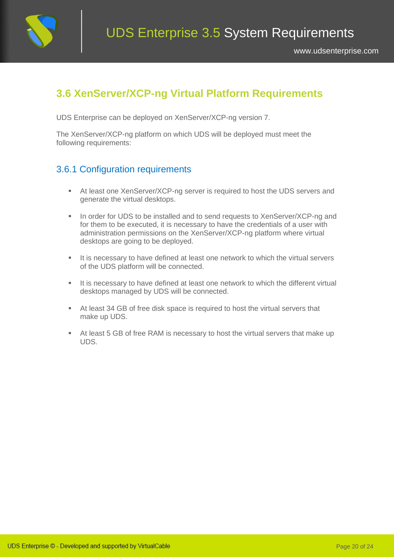

### <span id="page-20-0"></span>**3.6 XenServer/XCP-ng Virtual Platform Requirements**

UDS Enterprise can be deployed on XenServer/XCP-ng version 7.

<span id="page-20-1"></span>The XenServer/XCP-ng platform on which UDS will be deployed must meet the following requirements:

### 3.6.1 Configuration requirements

- At least one XenServer/XCP-ng server is required to host the UDS servers and generate the virtual desktops.
- In order for UDS to be installed and to send requests to XenServer/XCP-ng and for them to be executed, it is necessary to have the credentials of a user with administration permissions on the XenServer/XCP-ng platform where virtual desktops are going to be deployed.
- It is necessary to have defined at least one network to which the virtual servers of the UDS platform will be connected.
- **EXECT** It is necessary to have defined at least one network to which the different virtual desktops managed by UDS will be connected.
- At least 34 GB of free disk space is required to host the virtual servers that make up UDS.
- At least 5 GB of free RAM is necessary to host the virtual servers that make up UDS.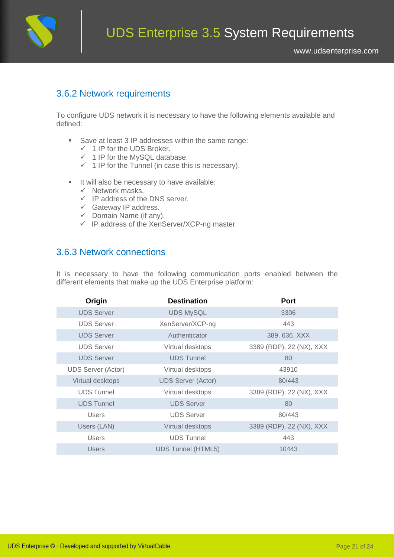

#### <span id="page-21-0"></span>3.6.2 Network requirements

To configure UDS network it is necessary to have the following elements available and defined:

- Save at least 3 IP addresses within the same range:
	- $\checkmark$  1 IP for the UDS Broker.
	- $\checkmark$  1 IP for the MySQL database.
	- $\checkmark$  1 IP for the Tunnel (in case this is necessary).
- It will also be necessary to have available:
	- $\checkmark$  Network masks.
	- $\checkmark$  IP address of the DNS server.
	- ✓ Gateway IP address.
	- $\checkmark$  Domain Name (if any).
	- ✓ IP address of the XenServer/XCP-ng master.

#### <span id="page-21-1"></span>3.6.3 Network connections

| Origin                    | <b>Destination</b>        | <b>Port</b>              |
|---------------------------|---------------------------|--------------------------|
| <b>UDS Server</b>         | <b>UDS MySQL</b>          | 3306                     |
| <b>UDS Server</b>         | XenServer/XCP-ng          | 443                      |
| <b>UDS Server</b>         | Authenticator             | 389, 636, XXX            |
| <b>UDS Server</b>         | Virtual desktops          | 3389 (RDP), 22 (NX), XXX |
| <b>UDS Server</b>         | <b>UDS Tunnel</b>         | 80                       |
| <b>UDS Server (Actor)</b> | Virtual desktops          | 43910                    |
| Virtual desktops          | <b>UDS Server (Actor)</b> | 80/443                   |
| <b>UDS Tunnel</b>         | Virtual desktops          | 3389 (RDP), 22 (NX), XXX |
| <b>UDS Tunnel</b>         | <b>UDS Server</b>         | 80                       |
| <b>Users</b>              | <b>UDS Server</b>         | 80/443                   |
| Users (LAN)               | Virtual desktops          | 3389 (RDP), 22 (NX), XXX |
| <b>Users</b>              | <b>UDS Tunnel</b>         | 443                      |
| <b>Users</b>              | <b>UDS Tunnel (HTML5)</b> | 10443                    |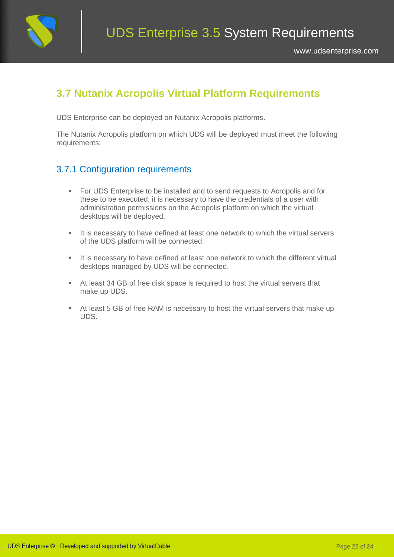

### <span id="page-22-0"></span>**3.7 Nutanix Acropolis Virtual Platform Requirements**

UDS Enterprise can be deployed on Nutanix Acropolis platforms.

<span id="page-22-1"></span>The Nutanix Acropolis platform on which UDS will be deployed must meet the following requirements:

### 3.7.1 Configuration requirements

- For UDS Enterprise to be installed and to send requests to Acropolis and for these to be executed, it is necessary to have the credentials of a user with administration permissions on the Acropolis platform on which the virtual desktops will be deployed.
- **EXECT** It is necessary to have defined at least one network to which the virtual servers of the UDS platform will be connected.
- **.** It is necessary to have defined at least one network to which the different virtual desktops managed by UDS will be connected.
- At least 34 GB of free disk space is required to host the virtual servers that make up UDS.
- At least 5 GB of free RAM is necessary to host the virtual servers that make up UDS.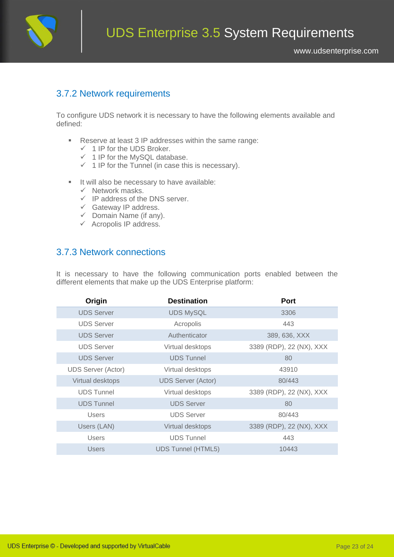

#### <span id="page-23-0"></span>3.7.2 Network requirements

To configure UDS network it is necessary to have the following elements available and defined:

- Reserve at least 3 IP addresses within the same range:
	- $\checkmark$  1 IP for the UDS Broker.
	- $\checkmark$  1 IP for the MySQL database.
	- $\checkmark$  1 IP for the Tunnel (in case this is necessary).
- It will also be necessary to have available:
	- $\checkmark$  Network masks.
	- $\checkmark$  IP address of the DNS server.
	- ✓ Gateway IP address.
	- $\checkmark$  Domain Name (if any).
	- $\checkmark$  Acropolis IP address.

### <span id="page-23-1"></span>3.7.3 Network connections

| Origin                    | <b>Destination</b>        | <b>Port</b>              |
|---------------------------|---------------------------|--------------------------|
| <b>UDS Server</b>         | <b>UDS MySQL</b>          | 3306                     |
| <b>UDS Server</b>         | Acropolis                 | 443                      |
| <b>UDS Server</b>         | Authenticator             | 389, 636, XXX            |
| <b>UDS Server</b>         | Virtual desktops          | 3389 (RDP), 22 (NX), XXX |
| <b>UDS Server</b>         | <b>UDS Tunnel</b>         | 80                       |
| <b>UDS Server (Actor)</b> | Virtual desktops          | 43910                    |
| Virtual desktops          | <b>UDS Server (Actor)</b> | 80/443                   |
| <b>UDS Tunnel</b>         | Virtual desktops          | 3389 (RDP), 22 (NX), XXX |
| <b>UDS Tunnel</b>         | <b>UDS Server</b>         | 80                       |
| <b>Users</b>              | <b>UDS Server</b>         | 80/443                   |
| Users (LAN)               | Virtual desktops          | 3389 (RDP), 22 (NX), XXX |
| <b>Users</b>              | <b>UDS Tunnel</b>         | 443                      |
| <b>Users</b>              | <b>UDS Tunnel (HTML5)</b> | 10443                    |